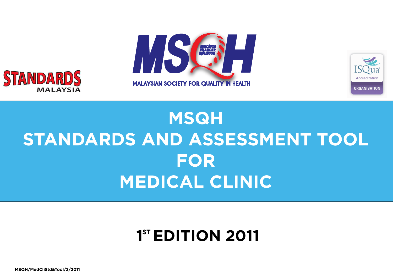





## **MSQH STANDARDS AND ASSESSMENT TOOL FOR MEDICAL CLINIC**

## **1ST EDITION 2011**

**MSQH/MedCliStd&Tool/2/2011**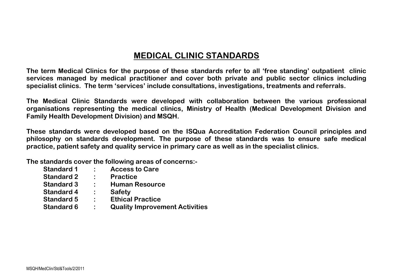## **MEDICAL CLINIC STANDARDS**

**The term Medical Clinics for the purpose of these standards refer to all 'free standing' outpatient clinic services managed by medical practitioner and cover both private and public sector clinics including specialist clinics. The term 'services' include consultations, investigations, treatments and referrals.**

**The Medical Clinic Standards were developed with collaboration between the various professional organisations representing the medical clinics, Ministry of Health (Medical Development Division and Family Health Development Division) and MSQH.** 

**These standards were developed based on the ISQua Accreditation Federation Council principles and philosophy on standards development. The purpose of these standards was to ensure safe medical practice, patient safety and quality service in primary care as well as in the specialist clinics.**

**The standards cover the following areas of concerns:-**

| <b>Standard 1</b> |                | <b>Access to Care</b>                 |
|-------------------|----------------|---------------------------------------|
| <b>Standard 2</b> |                | <b>Practice</b>                       |
| <b>Standard 3</b> | $\bullet$ .    | <b>Human Resource</b>                 |
| <b>Standard 4</b> | $\ddot{\cdot}$ | <b>Safety</b>                         |
| <b>Standard 5</b> | $\ddot{\cdot}$ | <b>Ethical Practice</b>               |
| <b>Standard 6</b> |                | <b>Quality Improvement Activities</b> |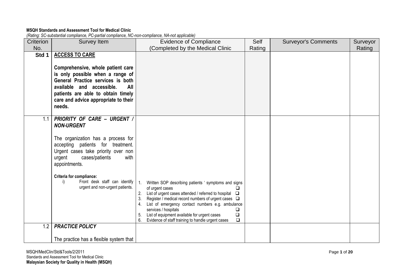## **MSQH Standards and Assessment Tool for Medical Clinic**

*(Rating: SC-substantial compliance, PC-partial compliance, NC-non-compliance, NA-not applicable)*

| Criterion | Survey Item                                                                                                                                                                                                                                                                                                                          | <b>Evidence of Compliance</b>                                                                                                                                                                                                                                                                                                                                                                                                                            | Self   | <b>Surveyor's Comments</b> | Surveyor |
|-----------|--------------------------------------------------------------------------------------------------------------------------------------------------------------------------------------------------------------------------------------------------------------------------------------------------------------------------------------|----------------------------------------------------------------------------------------------------------------------------------------------------------------------------------------------------------------------------------------------------------------------------------------------------------------------------------------------------------------------------------------------------------------------------------------------------------|--------|----------------------------|----------|
| No.       |                                                                                                                                                                                                                                                                                                                                      | (Completed by the Medical Clinic                                                                                                                                                                                                                                                                                                                                                                                                                         | Rating |                            | Rating   |
| Std 1     | <b>ACCESS TO CARE</b><br>Comprehensive, whole patient care<br>is only possible when a range of<br>General Practice services is both<br>available and accessible.<br>All<br>patients are able to obtain timely<br>care and advice appropriate to their<br>needs.                                                                      |                                                                                                                                                                                                                                                                                                                                                                                                                                                          |        |                            |          |
| 1.1       | PRIORITY OF CARE - URGENT /<br><b>NON-URGENT</b><br>The organization has a process for<br>accepting patients for treatment.<br>Urgent cases take priority over non<br>cases/patients<br>with<br>urgent<br>appointments.<br><b>Criteria for compliance:</b><br>Front desk staff can identify<br>i)<br>urgent and non-urgent patients. | Written SOP describing patients ' symptoms and signs<br>$\overline{1}$ .<br>of urgent cases<br>List of urgent cases attended / referred to hospital $\Box$<br>2.<br>3.<br>Register / medical record numbers of urgent cases $\Box$<br>List of emergency contact numbers e.g. ambulance<br>services / hospitals<br>❏<br>List of equipment available for urgent cases<br>$\Box$<br>5.<br>6.<br>Evidence of staff training to handle urgent cases<br>$\Box$ |        |                            |          |
| 1.2       | <b>PRACTICE POLICY</b>                                                                                                                                                                                                                                                                                                               |                                                                                                                                                                                                                                                                                                                                                                                                                                                          |        |                            |          |
|           | The practice has a flexible system that                                                                                                                                                                                                                                                                                              |                                                                                                                                                                                                                                                                                                                                                                                                                                                          |        |                            |          |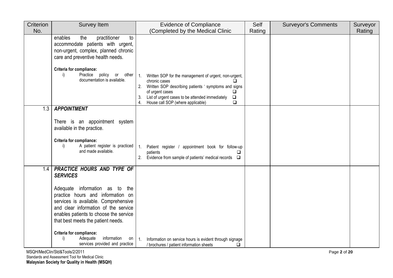| Criterion | <b>Survey Item</b>                                                                                                                                                                                                                     | <b>Evidence of Compliance</b>                                                                                                                                                                                                                                                                             | Self   | <b>Surveyor's Comments</b> | Surveyor |
|-----------|----------------------------------------------------------------------------------------------------------------------------------------------------------------------------------------------------------------------------------------|-----------------------------------------------------------------------------------------------------------------------------------------------------------------------------------------------------------------------------------------------------------------------------------------------------------|--------|----------------------------|----------|
| No.       |                                                                                                                                                                                                                                        | (Completed by the Medical Clinic                                                                                                                                                                                                                                                                          | Rating |                            | Rating   |
|           | enables<br>practitioner<br>the<br>to<br>accommodate patients with urgent,<br>non-urgent, complex, planned chronic<br>care and preventive health needs.                                                                                 |                                                                                                                                                                                                                                                                                                           |        |                            |          |
|           | Criteria for compliance:<br>i)<br>Practice policy<br>or<br>other<br>documentation is available.                                                                                                                                        | Written SOP for the management of urgent, non-urgent,<br>1.<br>chronic cases<br>$\Box$<br>Written SOP describing patients ' symptoms and signs<br>2.<br>of urgent cases<br>$\Box$<br>List of urgent cases to be attended immediately<br>$\Box$<br>3.<br>House call SOP (where applicable)<br>$\Box$<br>4. |        |                            |          |
| 1.3       | <b>APPOINTMENT</b>                                                                                                                                                                                                                     |                                                                                                                                                                                                                                                                                                           |        |                            |          |
|           | There is an appointment system<br>available in the practice.<br>Criteria for compliance:<br>A patient register is practiced<br>i)                                                                                                      | Patient register / appointment book for follow-up<br>1.                                                                                                                                                                                                                                                   |        |                            |          |
|           | and made available.                                                                                                                                                                                                                    | patients<br>ப<br>Evidence from sample of patients' medical records<br>2.<br>$\Box$                                                                                                                                                                                                                        |        |                            |          |
| 1.4       | PRACTICE HOURS AND TYPE OF<br><b>SERVICES</b>                                                                                                                                                                                          |                                                                                                                                                                                                                                                                                                           |        |                            |          |
|           | Adequate information as to<br>the<br>practice hours and information on<br>services is available. Comprehensive<br>and clear information of the service<br>enables patients to choose the service<br>that best meets the patient needs. |                                                                                                                                                                                                                                                                                                           |        |                            |          |
|           | Criteria for compliance:<br>information<br>i)<br>Adequate<br>on<br>services provided and practice                                                                                                                                      | Information on service hours is evident through signage<br>1.<br>/ brochures / patient information sheets<br>Q.                                                                                                                                                                                           |        |                            |          |

MSQH/MedClin/Std&Tools/2/2011 Page **2** of **20** Standards and Assessment Tool for Medical Clinic **Malaysian Society for Quality in Health (MSQH)**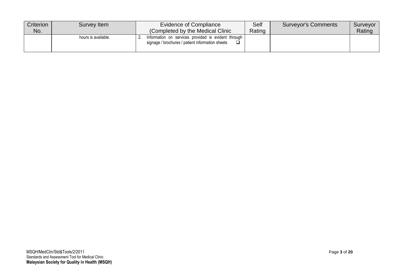| Criterion<br>No. | Survey Item         | Evidence of Compliance<br>(Completed by the Medical Clinic                                              | Self<br>Rating | <b>Surveyor's Comments</b> | Surveyor<br>Rating |
|------------------|---------------------|---------------------------------------------------------------------------------------------------------|----------------|----------------------------|--------------------|
|                  | hours is available. | Information on services provided is evident through<br>signage / brochures / patient information sheets |                |                            |                    |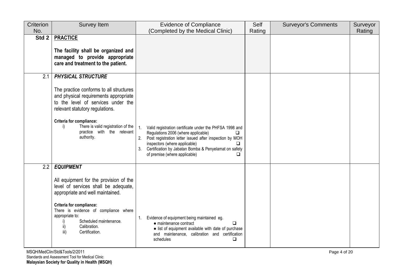| Criterion | Survey Item                                                                                                                                                                                                                                                                   | <b>Evidence of Compliance</b>                                                                                                                                                                                                                                                                    | Self   | <b>Surveyor's Comments</b> | Surveyor |
|-----------|-------------------------------------------------------------------------------------------------------------------------------------------------------------------------------------------------------------------------------------------------------------------------------|--------------------------------------------------------------------------------------------------------------------------------------------------------------------------------------------------------------------------------------------------------------------------------------------------|--------|----------------------------|----------|
| No.       |                                                                                                                                                                                                                                                                               | (Completed by the Medical Clinic)                                                                                                                                                                                                                                                                | Rating |                            | Rating   |
| Std 2     | <b>PRACTICE</b><br>The facility shall be organized and                                                                                                                                                                                                                        |                                                                                                                                                                                                                                                                                                  |        |                            |          |
|           | managed to provide appropriate<br>care and treatment to the patient.                                                                                                                                                                                                          |                                                                                                                                                                                                                                                                                                  |        |                            |          |
| 2.1       | <b>PHYSICAL STRUCTURE</b>                                                                                                                                                                                                                                                     |                                                                                                                                                                                                                                                                                                  |        |                            |          |
|           | The practice conforms to all structures<br>and physical requirements appropriate<br>to the level of services under the<br>relevant statutory regulations.<br>Criteria for compliance:<br>There is valid registration of the<br>i)<br>practice with the relevant<br>authority. | Valid registration certificate under the PHFSA 1998 and<br>Regulations 2006 (where applicable)<br>Post registration letter issued after inspection by MOH<br>2.<br>inspectors (where applicable)<br>Certification by Jabatan Bomba & Penyelamat on safety<br>3.<br>of premise (where applicable) |        |                            |          |
| 2.2       | <b>EQUIPMENT</b>                                                                                                                                                                                                                                                              |                                                                                                                                                                                                                                                                                                  |        |                            |          |
|           | All equipment for the provision of the<br>level of services shall be adequate,<br>appropriate and well maintained.<br>Criteria for compliance:                                                                                                                                |                                                                                                                                                                                                                                                                                                  |        |                            |          |
|           | There is evidence of compliance where<br>appropriate to:<br>Scheduled maintenance.<br>Calibration.<br>ii)<br>iii)<br>Certification.                                                                                                                                           | Evidence of equipment being maintained eg.<br>□<br>• maintenance contract<br>• list of equipment available with date of purchase<br>and maintenance, calibration and certification<br>schedules<br>❏                                                                                             |        |                            |          |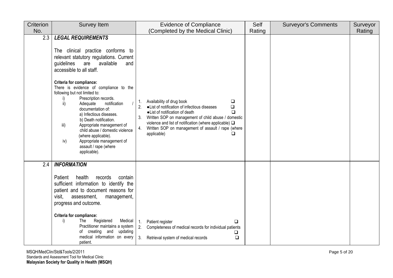| Criterion | <b>Survey Item</b>                                                                                                                                                                                                                                                                                                                                                                                                                                                                                                                                                                                                   | <b>Evidence of Compliance</b>                                                                                                                                                                                                                                                                                                                               | Self   | <b>Surveyor's Comments</b> | Surveyor |
|-----------|----------------------------------------------------------------------------------------------------------------------------------------------------------------------------------------------------------------------------------------------------------------------------------------------------------------------------------------------------------------------------------------------------------------------------------------------------------------------------------------------------------------------------------------------------------------------------------------------------------------------|-------------------------------------------------------------------------------------------------------------------------------------------------------------------------------------------------------------------------------------------------------------------------------------------------------------------------------------------------------------|--------|----------------------------|----------|
| No.       |                                                                                                                                                                                                                                                                                                                                                                                                                                                                                                                                                                                                                      | (Completed by the Medical Clinic)                                                                                                                                                                                                                                                                                                                           | Rating |                            | Rating   |
| 2.3       | <b>LEGAL REQUIREMENTS</b><br>The clinical practice conforms to<br>relevant statutory regulations. Current<br>available<br>guidelines<br>are<br>and<br>accessible to all staff.<br><b>Criteria for compliance:</b><br>There is evidence of compliance to the<br>following but not limited to:<br>Prescription records.<br>i)<br>ii)<br>Adequate<br>notification<br>documentation of:<br>a) Infectious diseases.<br>b) Death notification.<br>iii)<br>Appropriate management of<br>child abuse / domestic violence<br>(where applicable).<br>Appropriate management of<br>iv)<br>assault / rape (where<br>applicable). | Availability of drug book<br>$\Box$<br>1.<br>·List of notification of infectious diseases<br>$\Box$<br>·List of notification of death<br>$\Box$<br>Written SOP on management of child abuse / domestic<br>3.<br>violence and list of notification (where applicable) $\Box$<br>4.<br>Written SOP on management of assault / rape (where<br>applicable)<br>❏ |        |                            |          |
| 2.4       | <b>INFORMATION</b><br>health<br>Patient<br>records<br>contain<br>sufficient information to identify the<br>patient and to document reasons for<br>visit,<br>assessment,<br>management,<br>progress and outcome.<br>Criteria for compliance:<br>i)<br>Registered<br>Medical<br>The l<br>Practitioner maintains a system<br>of creating and<br>updating<br>medical information on every<br>patient.                                                                                                                                                                                                                    | 1.<br>Patient register<br>□<br>2.<br>Completeness of medical records for individual patients<br>❏<br>3. Retrieval system of medical records<br>$\Box$                                                                                                                                                                                                       |        |                            |          |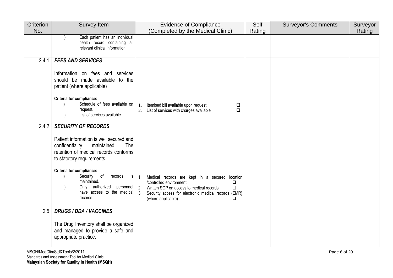| Criterion | Survey Item                                                                                                                                                              | <b>Evidence of Compliance</b>                                                                                                                                                                                                                       | Self   | <b>Surveyor's Comments</b> | Surveyor |
|-----------|--------------------------------------------------------------------------------------------------------------------------------------------------------------------------|-----------------------------------------------------------------------------------------------------------------------------------------------------------------------------------------------------------------------------------------------------|--------|----------------------------|----------|
| No.       |                                                                                                                                                                          | (Completed by the Medical Clinic)                                                                                                                                                                                                                   | Rating |                            | Rating   |
|           | Each patient has an individual<br>ii)<br>health record containing all<br>relevant clinical information.                                                                  |                                                                                                                                                                                                                                                     |        |                            |          |
| 2.4.1     | <b>FEES AND SERVICES</b>                                                                                                                                                 |                                                                                                                                                                                                                                                     |        |                            |          |
|           | Information on fees and services<br>should be made available to the<br>patient (where applicable)                                                                        |                                                                                                                                                                                                                                                     |        |                            |          |
|           | Criteria for compliance:<br>Schedule of fees available on<br>i)<br>request.<br>List of services available.<br>ii)                                                        | Itemised bill available upon request<br>$\Box$<br>1.<br>$\Box$<br>2. List of services with charges available                                                                                                                                        |        |                            |          |
| 2.4.2     | <b>SECURITY OF RECORDS</b>                                                                                                                                               |                                                                                                                                                                                                                                                     |        |                            |          |
|           | Patient information is well secured and<br>confidentiality<br>maintained.<br>The<br>retention of medical records conforms<br>to statutory requirements.                  |                                                                                                                                                                                                                                                     |        |                            |          |
|           | Criteria for compliance:<br>Security<br>of<br>i)<br>records<br><b>is</b><br>maintained.<br>Only authorized<br>ii)<br>personnel<br>have access to the medical<br>records. | Medical records are kept in a secured location<br>1.<br>/controlled environment<br>$\Box$<br>$\Box$<br>2.<br>Written SOP on access to medical records<br>3.<br>Security access for electronic medical records (EMR)<br>(where applicable)<br>$\Box$ |        |                            |          |
| 2.5       | <b>DRUGS / DDA / VACCINES</b>                                                                                                                                            |                                                                                                                                                                                                                                                     |        |                            |          |
|           | The Drug Inventory shall be organized<br>and managed to provide a safe and<br>appropriate practice.                                                                      |                                                                                                                                                                                                                                                     |        |                            |          |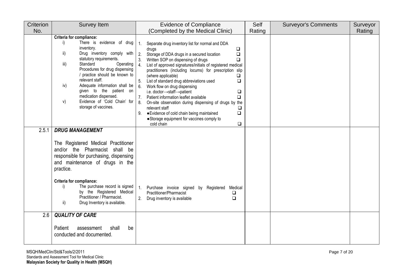| Criterion | <b>Survey Item</b>                                                                                                                                                                                                                                                                                                                                                                                                         | <b>Evidence of Compliance</b>                                                                                                                                                                                                                                                                                                                                                                                                                                                                                                                                                                                                                                                                                                                                                                                       | Self   | <b>Surveyor's Comments</b> | Surveyor |
|-----------|----------------------------------------------------------------------------------------------------------------------------------------------------------------------------------------------------------------------------------------------------------------------------------------------------------------------------------------------------------------------------------------------------------------------------|---------------------------------------------------------------------------------------------------------------------------------------------------------------------------------------------------------------------------------------------------------------------------------------------------------------------------------------------------------------------------------------------------------------------------------------------------------------------------------------------------------------------------------------------------------------------------------------------------------------------------------------------------------------------------------------------------------------------------------------------------------------------------------------------------------------------|--------|----------------------------|----------|
| No.       |                                                                                                                                                                                                                                                                                                                                                                                                                            | (Completed by the Medical Clinic)                                                                                                                                                                                                                                                                                                                                                                                                                                                                                                                                                                                                                                                                                                                                                                                   | Rating |                            | Rating   |
|           | Criteria for compliance:<br>There is evidence of drug<br>i)<br>inventory.<br>Drug inventory comply with<br>ii)<br>statutory requirements.<br>iii)<br>Standard<br>Operating<br>Procedures for drug dispensing<br>/ practice should be known to<br>relevant staff.<br>iv)<br>Adequate information shall be<br>given to the patient on<br>medication dispensed.<br>Evidence of 'Cold Chain' for<br>V)<br>storage of vaccines. | Separate drug inventory list for normal and DDA<br>$\overline{1}$ .<br>$\Box$<br>drugs<br>2.<br>Storage of DDA drugs in a secured location<br>$\Box$<br>Written SOP on dispensing of drugs<br>3.<br>❏<br>$\overline{4}$ .<br>List of approved signatures/initials of registered medical<br>practitioners (including locums) for prescription slip<br>(where applicable)<br>$\Box$<br>5.<br>List of standard drug abbreviations used<br>$\Box$<br>6.<br>Work flow on drug dispensing<br>i.e. doctor->staff->patient<br>$\Box$<br>7.<br>$\Box$<br>Patient information leaflet available<br>8.<br>On-site observation during dispensing of drugs by the<br>relevant staff<br>$\Box$<br>· Evidence of cold chain being maintained<br>$\Box$<br>9.<br>• Storage equipment for vaccines comply to<br>cold chain<br>$\Box$ |        |                            |          |
| 2.5.1     | <b>DRUG MANAGEMENT</b>                                                                                                                                                                                                                                                                                                                                                                                                     |                                                                                                                                                                                                                                                                                                                                                                                                                                                                                                                                                                                                                                                                                                                                                                                                                     |        |                            |          |
|           | The Registered Medical Practitioner<br>and/or the Pharmacist shall be<br>responsible for purchasing, dispensing<br>and maintenance of drugs in the<br>practice.<br><b>Criteria for compliance:</b><br>The purchase record is signed<br>i)<br>by the Registered Medical<br>Practitioner / Pharmacist.<br>ii)<br>Drug Inventory is available.                                                                                | $\mathbf{1}$ .<br>Purchase invoice signed by Registered Medical<br>Practitioner/Pharmacist<br>$\Box$<br>Drug inventory is available<br>$\Box$                                                                                                                                                                                                                                                                                                                                                                                                                                                                                                                                                                                                                                                                       |        |                            |          |
| 2.6       | <b>QUALITY OF CARE</b>                                                                                                                                                                                                                                                                                                                                                                                                     |                                                                                                                                                                                                                                                                                                                                                                                                                                                                                                                                                                                                                                                                                                                                                                                                                     |        |                            |          |
|           | Patient<br>be<br>assessment<br>shall<br>conducted and documented.                                                                                                                                                                                                                                                                                                                                                          |                                                                                                                                                                                                                                                                                                                                                                                                                                                                                                                                                                                                                                                                                                                                                                                                                     |        |                            |          |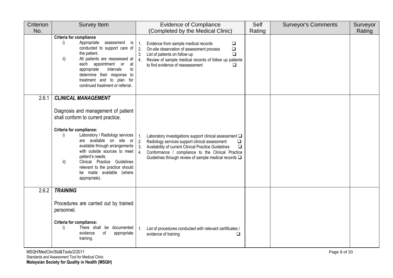| Criterion | Survey Item                                                                                                                                                                                                                                                                                                                                                                             | <b>Evidence of Compliance</b>                                                                                                                                                                                                                                                                                                       | Self   | <b>Surveyor's Comments</b> | Surveyor |
|-----------|-----------------------------------------------------------------------------------------------------------------------------------------------------------------------------------------------------------------------------------------------------------------------------------------------------------------------------------------------------------------------------------------|-------------------------------------------------------------------------------------------------------------------------------------------------------------------------------------------------------------------------------------------------------------------------------------------------------------------------------------|--------|----------------------------|----------|
| No.       |                                                                                                                                                                                                                                                                                                                                                                                         | (Completed by the Medical Clinic)                                                                                                                                                                                                                                                                                                   | Rating |                            | Rating   |
|           | <b>Criteria for compliance</b><br>Appropriate<br>assessment is<br>i)<br>conducted to support care of<br>the patient.<br>All patients are reassessed at<br>ii)<br>each appointment or at<br>intervals<br>to<br>appropriate<br>determine their response to<br>treatment and to plan for<br>continued treatment or referral.                                                               | Evidence from sample medical records<br>1.<br>$\Box$<br>2.<br>$\Box$<br>On-site observation of assessment process<br>3.<br>List of patients on follow up<br>$\Box$<br>Review of sample medical records of follow up patients<br>4.<br>to find evidence of reassessment<br>□                                                         |        |                            |          |
| 2.6.1     | <b>CLINICAL MANAGEMENT</b>                                                                                                                                                                                                                                                                                                                                                              |                                                                                                                                                                                                                                                                                                                                     |        |                            |          |
|           | Diagnosis and management of patient<br>shall conform to current practice.<br>Criteria for compliance:<br>Laboratory / Radiology services<br>i)<br>are available on site or<br>available through arrangements<br>with outside sources to meet<br>patient's needs.<br>Clinical Practice Guidelines<br>ii)<br>relevant to the practice should<br>be made available (where<br>appropriate). | 1.<br>Laboratory investigations support clinical assessment Q<br>2.<br>Radiology services support clinical assessment<br>$\Box$<br>3.<br>Availability of current Clinical Practice Guidelines<br>$\Box$<br>4.<br>Conformance / compliance to the Clinical Practice<br>Guidelines through review of sample medical records $\square$ |        |                            |          |
| 2.6.2     | <b>TRAINING</b>                                                                                                                                                                                                                                                                                                                                                                         |                                                                                                                                                                                                                                                                                                                                     |        |                            |          |
|           | Procedures are carried out by trained<br>personnel.<br><b>Criteria for compliance:</b><br>There shall be documented<br>i)<br>evidence<br>of<br>appropriate<br>training.                                                                                                                                                                                                                 | 1.<br>List of procedures conducted with relevant certificates /<br>evidence of training<br>□                                                                                                                                                                                                                                        |        |                            |          |

MSQH/MedClin/Std&Tools/2/2011 Page 8 of 20 Standards and Assessment Tool for Medical Clinic **Malaysian Society for Quality in Health (MSQH)**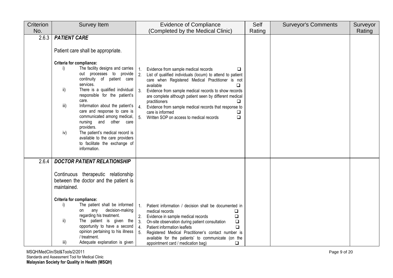| Criterion | <b>Survey Item</b>                                                                                                                                                                                                                                                                                                                                                                                                                                                                                                                                                                | <b>Evidence of Compliance</b>                                                                                                                                                                                                                                                                                                                                                                                                                                                                                | Self   | <b>Surveyor's Comments</b> | Surveyor |
|-----------|-----------------------------------------------------------------------------------------------------------------------------------------------------------------------------------------------------------------------------------------------------------------------------------------------------------------------------------------------------------------------------------------------------------------------------------------------------------------------------------------------------------------------------------------------------------------------------------|--------------------------------------------------------------------------------------------------------------------------------------------------------------------------------------------------------------------------------------------------------------------------------------------------------------------------------------------------------------------------------------------------------------------------------------------------------------------------------------------------------------|--------|----------------------------|----------|
| No.       |                                                                                                                                                                                                                                                                                                                                                                                                                                                                                                                                                                                   | (Completed by the Medical Clinic)                                                                                                                                                                                                                                                                                                                                                                                                                                                                            | Rating |                            | Rating   |
| 2.6.3     | <b>PATIENT CARE</b><br>Patient care shall be appropriate.<br><b>Criteria for compliance:</b><br>The facility designs and carries<br>i)<br>out processes to provide<br>continuity of patient care<br>services.<br>ii)<br>There is a qualified individual<br>responsible for the patient's<br>care.<br>iii)<br>Information about the patient's<br>care and response to care is<br>communicated among medical,<br>nursing and other care<br>providers.<br>The patient's medical record is<br>iv)<br>available to the care providers<br>to facilitate the exchange of<br>information. | Evidence from sample medical records<br>1.<br>❏<br>2.<br>List of qualified individuals (locum) to attend to patient<br>care when Registered Medical Practitioner is not<br>available<br><b>□</b><br>3.<br>Evidence from sample medical records to show records<br>are complete although patient seen by different medical<br>practitioners<br>◻<br>Evidence from sample medical records that response to<br>$\overline{4}$ .<br>care is informed<br>5.<br>Written SOP on access to medical records<br>$\Box$ |        |                            |          |
| 2.6.4     | <b>DOCTOR PATIENT RELATIONSHIP</b><br>Continuous therapeutic relationship<br>between the doctor and the patient is<br>maintained.<br><b>Criteria for compliance:</b><br>The patient shall be informed<br>i)<br>decision-making<br>any<br>on<br>regarding his treatment.<br>ii)<br>The patient is given the<br>opportunity to have a second<br>opinion pertaining to his illness<br>/ treatment.<br>iii)<br>Adequate explanation is given                                                                                                                                          | Patient information / decision shall be documented in<br>1.<br>medical records<br>❏<br>$\Box$<br>Evidence in sample medical records<br>2.<br>On-site observation during patient consultation<br>$\Box$<br>-3.<br>$\overline{4}$ .<br>Patient information leaflets<br>❏<br>5.<br>Registered Medical Practitioner's contact number is<br>available for the patients' to communicate (on the<br>appointment card / medication bag)<br>$\Box$                                                                    |        |                            |          |

MSQH/MedClin/Std&Tools/2/2011 Page 9 of 20 Standards and Assessment Tool for Medical Clinic **Malaysian Society for Quality in Health (MSQH)**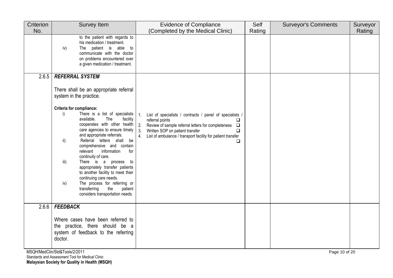| to the patient with regards to                                                                                                                                                                                                                                                                                                                                                                                                                                                                                                                                                                                                                         | (Completed by the Medical Clinic)                                                                                                                                                                                                                                                                                   | Rating |               |
|--------------------------------------------------------------------------------------------------------------------------------------------------------------------------------------------------------------------------------------------------------------------------------------------------------------------------------------------------------------------------------------------------------------------------------------------------------------------------------------------------------------------------------------------------------------------------------------------------------------------------------------------------------|---------------------------------------------------------------------------------------------------------------------------------------------------------------------------------------------------------------------------------------------------------------------------------------------------------------------|--------|---------------|
|                                                                                                                                                                                                                                                                                                                                                                                                                                                                                                                                                                                                                                                        |                                                                                                                                                                                                                                                                                                                     |        | Rating        |
| his medication / treatment.<br>The patient is able to<br>iv)<br>communicate with the doctor<br>on problems encountered over<br>a given medication / treatment.                                                                                                                                                                                                                                                                                                                                                                                                                                                                                         |                                                                                                                                                                                                                                                                                                                     |        |               |
| <b>REFERRAL SYSTEM</b>                                                                                                                                                                                                                                                                                                                                                                                                                                                                                                                                                                                                                                 |                                                                                                                                                                                                                                                                                                                     |        |               |
| There shall be an appropriate referral<br>system in the practice.<br><b>Criteria for compliance:</b><br>i)<br>There is a list of specialists<br>facility<br>available.<br>The<br>cooperates with other health<br>care agencies to ensure timely<br>and appropriate referrals.<br>Referral letters shall be<br>ii)<br>comprehensive and contain<br>relevant<br>information<br>for<br>continuity of care.<br>iii)<br>There is a process to<br>appropriately transfer patients<br>to another facility to meet their<br>continuing care needs.<br>The process for referring or<br>iv)<br>transferring<br>the<br>patient<br>considers transportation needs. | List of specialists / contracts / panel of specialists /<br>$\mathbf{1}$ .<br>referral points<br>$\Box$<br>2.<br>Review of sample referral letters for completeness $\Box$<br>3.<br>Written SOP on patient transfer<br>$\Box$<br>List of ambulance / transport facility for patient transfer<br>4 <sub>1</sub><br>◻ |        |               |
| <b>FEEDBACK</b>                                                                                                                                                                                                                                                                                                                                                                                                                                                                                                                                                                                                                                        |                                                                                                                                                                                                                                                                                                                     |        |               |
| Where cases have been referred to<br>the practice, there should be a<br>system of feedback to the referring<br>doctor.                                                                                                                                                                                                                                                                                                                                                                                                                                                                                                                                 |                                                                                                                                                                                                                                                                                                                     |        |               |
|                                                                                                                                                                                                                                                                                                                                                                                                                                                                                                                                                                                                                                                        | MSQH/MedClin/Std&Tools/2/2011                                                                                                                                                                                                                                                                                       |        | Page 10 of 20 |

Standards and Assessment Tool for Medical Clinic

**Malaysian Society for Quality in Health (MSQH)**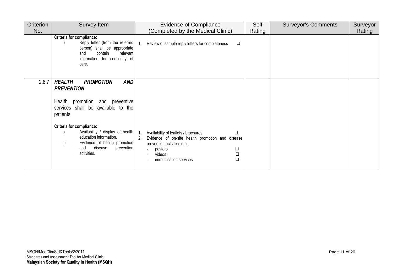| Criterion | Survey Item                                                                                                                                                                               | <b>Evidence of Compliance</b>                                                                                                                                                                                                          | Self   | <b>Surveyor's Comments</b> | Surveyor |
|-----------|-------------------------------------------------------------------------------------------------------------------------------------------------------------------------------------------|----------------------------------------------------------------------------------------------------------------------------------------------------------------------------------------------------------------------------------------|--------|----------------------------|----------|
| No.       |                                                                                                                                                                                           | (Completed by the Medical Clinic)                                                                                                                                                                                                      | Rating |                            | Rating   |
|           | <b>Criteria for compliance:</b><br>Reply letter (from the referred<br>i)<br>person) shall be appropriate<br>contain<br>relevant<br>and<br>information for continuity of<br>care.          | Review of sample reply letters for completeness<br>$\Box$<br>-1.                                                                                                                                                                       |        |                            |          |
| 2.6.7     | <b>HEALTH</b><br><b>AND</b><br><b>PROMOTION</b><br><b>PREVENTION</b>                                                                                                                      |                                                                                                                                                                                                                                        |        |                            |          |
|           | promotion and preventive<br>Health<br>services shall be available to the<br>patients.                                                                                                     |                                                                                                                                                                                                                                        |        |                            |          |
|           | <b>Criteria for compliance:</b><br>Availability / display of health<br>i)<br>education information.<br>ii)<br>Evidence of health promotion<br>disease<br>prevention<br>and<br>activities. | $\overline{1}$ .<br>Availability of leaflets / brochures<br>$\Box$<br>2.<br>Evidence of on-site health promotion and disease<br>prevention activities e.g.<br>$\Box$<br>posters<br>$\Box$<br>videos<br>$\Box$<br>immunisation services |        |                            |          |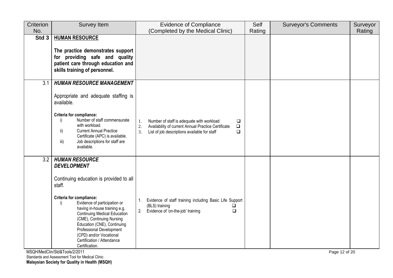| Criterion | <b>Survey Item</b>                                                                                                                                                                                                                                                                                                                                                                                            | Evidence of Compliance                                                                                                                                                                      | Self   | <b>Surveyor's Comments</b> | Surveyor |
|-----------|---------------------------------------------------------------------------------------------------------------------------------------------------------------------------------------------------------------------------------------------------------------------------------------------------------------------------------------------------------------------------------------------------------------|---------------------------------------------------------------------------------------------------------------------------------------------------------------------------------------------|--------|----------------------------|----------|
| No.       |                                                                                                                                                                                                                                                                                                                                                                                                               | (Completed by the Medical Clinic)                                                                                                                                                           | Rating |                            | Rating   |
| Std 3     | <b>HUMAN RESOURCE</b><br>The practice demonstrates support<br>for providing safe and quality<br>patient care through education and<br>skills training of personnel.                                                                                                                                                                                                                                           |                                                                                                                                                                                             |        |                            |          |
| 3.1       | <b>HUMAN RESOURCE MANAGEMENT</b><br>Appropriate and adequate staffing is<br>available.<br>Criteria for compliance:<br>Number of staff commensurate<br>i)<br>with workload.<br><b>Current Annual Practice</b><br>ii)<br>Certificate (APC) is available.<br>Job descriptions for staff are<br>iii)<br>available.                                                                                                | Number of staff is adequate with workload<br>1.<br>❏<br>2.<br>Availability of current Annual Practice Certificate<br>$\Box$<br>3.<br>List of job descriptions available for staff<br>$\Box$ |        |                            |          |
| 3.2       | <b>HUMAN RESOURCE</b><br><b>DEVELOPMENT</b><br>Continuing education is provided to all<br>staff.<br>Criteria for compliance:<br>Evidence of participation or<br>i)<br>having in-house training e.g.<br><b>Continuing Medical Education</b><br>(CME), Continuing Nursing<br>Education (CNE), Continuing<br>Professional Development<br>(CPD) and/or Vocational<br>Certification / Attendance<br>Certification. | Evidence of staff training including Basic Life Support<br>1.<br>(BLS) training<br>2.<br>Evidence of 'on-the-job' training<br>$\Box$                                                        |        |                            |          |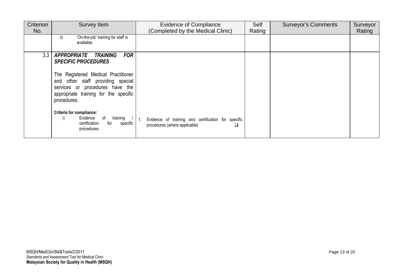| Criterion<br>No. | <b>Survey Item</b>                                                                                                                                                  | <b>Evidence of Compliance</b><br>(Completed by the Medical Clinic)                        | Self<br>Rating | <b>Surveyor's Comments</b> | Surveyor<br>Rating |
|------------------|---------------------------------------------------------------------------------------------------------------------------------------------------------------------|-------------------------------------------------------------------------------------------|----------------|----------------------------|--------------------|
|                  | 'On-the-job' training for staff is<br>ii)<br>available.                                                                                                             |                                                                                           |                |                            |                    |
| 3.3              | <b>FOR</b><br><b>APPROPRIATE</b><br><b>TRAINING</b><br><b>SPECIFIC PROCEDURES</b>                                                                                   |                                                                                           |                |                            |                    |
|                  | The Registered Medical Practitioner<br>and other staff providing special<br>services or procedures have the<br>appropriate training for the specific<br>procedures. |                                                                                           |                |                            |                    |
|                  | <b>Criteria for compliance:</b><br>training<br>Evidence<br>of<br>i)<br>certification<br>for<br>specific<br>procedures.                                              | Evidence of training and certification for specific<br>procedures (where applicable)<br>◻ |                |                            |                    |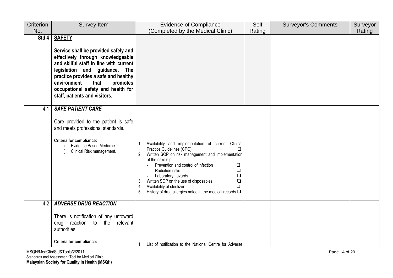| Criterion | <b>Survey Item</b>                                                                                                                                                                                                                                                                                                      | <b>Evidence of Compliance</b>                                                                                                                                                                                                                                                                                                                                                                                                                                        | Self   | <b>Surveyor's Comments</b> | Surveyor |
|-----------|-------------------------------------------------------------------------------------------------------------------------------------------------------------------------------------------------------------------------------------------------------------------------------------------------------------------------|----------------------------------------------------------------------------------------------------------------------------------------------------------------------------------------------------------------------------------------------------------------------------------------------------------------------------------------------------------------------------------------------------------------------------------------------------------------------|--------|----------------------------|----------|
| No.       |                                                                                                                                                                                                                                                                                                                         | (Completed by the Medical Clinic)                                                                                                                                                                                                                                                                                                                                                                                                                                    | Rating |                            | Rating   |
| Std 4     | <b>SAFETY</b><br>Service shall be provided safely and<br>effectively through knowledgeable<br>and skilful staff in line with current<br>legislation and guidance. The<br>practice provides a safe and healthy<br>environment<br>that<br>promotes<br>occupational safety and health for<br>staff, patients and visitors. |                                                                                                                                                                                                                                                                                                                                                                                                                                                                      |        |                            |          |
| 4.1       | <b>SAFE PATIENT CARE</b><br>Care provided to the patient is safe<br>and meets professional standards.<br>Criteria for compliance:<br>Evidence Based Medicine.<br>Clinical Risk management.<br>ii)                                                                                                                       | Availability and implementation of current Clinical<br>Practice Guidelines (CPG)<br>◻<br>Written SOP on risk management and implementation<br>2.<br>of the risks e.g.<br>Prevention and control of infection<br>$\Box$<br>$\Box$<br>Radiation risks<br>Laboratory hazards<br>$\Box$<br>Written SOP on the use of disposables<br>$\Box$<br>3.<br>Availability of sterilizer<br>$\Box$<br>4.<br>History of drug allergies noted in the medical records $\square$<br>5. |        |                            |          |
| 4.2       | <b>ADVERSE DRUG REACTION</b><br>There is notification of any untoward<br>reaction<br>relevant<br>to the<br>drug<br>authorities.                                                                                                                                                                                         |                                                                                                                                                                                                                                                                                                                                                                                                                                                                      |        |                            |          |
|           | <b>Criteria for compliance:</b>                                                                                                                                                                                                                                                                                         | List of notification to the National Centre for Adverse                                                                                                                                                                                                                                                                                                                                                                                                              |        |                            |          |

MSQH/MedClin/Std&Tools/2/2011 Page 14 of 20 Standards and Assessment Tool for Medical Clinic **Malaysian Society for Quality in Health (MSQH)**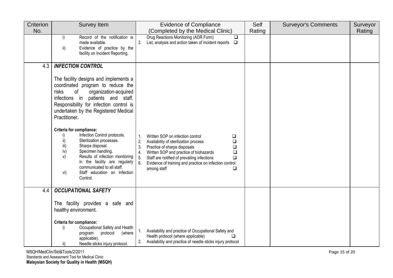| Criterion | Survey Item                                                                                                                                                                                                                                                                                                                                                                                     | <b>Evidence of Compliance</b>                                                                                                                                                                                  | Self   | <b>Surveyor's Comments</b> | Surveyor |
|-----------|-------------------------------------------------------------------------------------------------------------------------------------------------------------------------------------------------------------------------------------------------------------------------------------------------------------------------------------------------------------------------------------------------|----------------------------------------------------------------------------------------------------------------------------------------------------------------------------------------------------------------|--------|----------------------------|----------|
| No.       |                                                                                                                                                                                                                                                                                                                                                                                                 | (Completed by the Medical Clinic)                                                                                                                                                                              | Rating |                            | Rating   |
|           | Record of the notification is<br>i)<br>made available.<br>Evidence of practice by the<br>ii)<br>facility on Incident Reporting.                                                                                                                                                                                                                                                                 | Drug Reactions Monitoring (ADR Form)<br>$\Box$<br>2.<br>List, analysis and action taken of incident reports $\Box$                                                                                             |        |                            |          |
| 4.3       | <b>INFECTION CONTROL</b>                                                                                                                                                                                                                                                                                                                                                                        |                                                                                                                                                                                                                |        |                            |          |
|           | The facility designs and implements a<br>coordinated program to reduce the<br>risks<br>of<br>organization-acquired<br>infections in<br>patients and staff.<br>Responsibility for infection control is<br>undertaken by the Registered Medical<br>Practitioner.<br>Criteria for compliance:<br>Infection Control protocols.<br>i)<br>ii)<br>Sterilization processes.<br>Sharps disposal.<br>iii) | Written SOP on infection control<br>1.<br>❏<br>2.<br>Availability of sterilization process<br>$\Box$<br>3.<br>$\Box$<br>Practice of sharps disposals                                                           |        |                            |          |
|           | iv)<br>Specimen handling.<br>Results of infection monitoring<br>V)<br>in the facility are regularly<br>communicated to all staff.<br>Staff education on Infection<br>vi)<br>Control.                                                                                                                                                                                                            | 4.<br>Written SOP and practice of biohazards<br>$\Box$<br>5.<br>Staff are notified of prevailing infections<br>$\Box$<br>6.<br>Evidence of training and practice on infection control<br>$\Box$<br>among staff |        |                            |          |
| 4.4       | <b>OCCUPATIONAL SAFETY</b>                                                                                                                                                                                                                                                                                                                                                                      |                                                                                                                                                                                                                |        |                            |          |
|           | The facility provides a safe and<br>healthy environment.                                                                                                                                                                                                                                                                                                                                        |                                                                                                                                                                                                                |        |                            |          |
|           | Criteria for compliance:<br>Occupational Safety and Health<br>i)<br>(where<br>protocol<br>program<br>applicable).<br>ii)<br>Needle sticks injury protocol.                                                                                                                                                                                                                                      | Availability and practice of Occupational Safety and<br>$\mathbf{1}$ .<br>Health protocol (where applicable)<br>$\Box$<br>Availability and practice of needle sticks injury protocol<br>2.                     |        |                            |          |

MSQH/MedClin/Std&Tools/2/2011 Page 15 of 20 Standards and Assessment Tool for Medical Clinic **Malaysian Society for Quality in Health (MSQH)**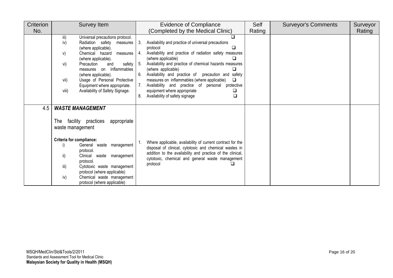| Criterion | Survey Item                                                                                                                                                                                                                                                                                                                                                                       | <b>Evidence of Compliance</b>                                                                                                                                                                                                                                                                                                                                                                                                                                                                                                         | Self   | <b>Surveyor's Comments</b> | Surveyor |
|-----------|-----------------------------------------------------------------------------------------------------------------------------------------------------------------------------------------------------------------------------------------------------------------------------------------------------------------------------------------------------------------------------------|---------------------------------------------------------------------------------------------------------------------------------------------------------------------------------------------------------------------------------------------------------------------------------------------------------------------------------------------------------------------------------------------------------------------------------------------------------------------------------------------------------------------------------------|--------|----------------------------|----------|
| No.       |                                                                                                                                                                                                                                                                                                                                                                                   | (Completed by the Medical Clinic)                                                                                                                                                                                                                                                                                                                                                                                                                                                                                                     | Rating |                            | Rating   |
|           | iii)<br>Universal precautions protocol.<br>iv)<br>Radiation safety<br>measures<br>(where applicable).<br>Chemical hazard<br>V)<br>measures<br>(where applicable).<br>safety<br>vi)<br>Precaution<br>and<br>Inflammables<br>measures on<br>(where applicable).<br>Usage of Personal Protective<br>vii)<br>Equipment where appropriate.<br>viii)<br>Availability of Safety Signage. | Availability and practice of universal precautions<br>3.<br><b>□</b><br>protocol<br>Availability and practice of radiation safety measures<br>4.<br>(where applicable)<br>Availability and practice of chemical hazards measures<br>- 5.<br>(where applicable)<br>❏<br>6.<br>Availability and practice of precaution and<br>safety<br>measures on inflammables (where applicable)<br>$\Box$<br>Availability and practice of personal protective<br>equipment where appropriate<br>❏<br>$\Box$<br>8.<br>Availability of safety signage |        |                            |          |
| 4.5       | <b>WASTE MANAGEMENT</b><br>facility practices<br>appropriate<br>The<br>waste management<br><b>Criteria for compliance:</b><br>General waste management<br>i)<br>protocol.<br>ii)<br>Clinical waste management<br>protocol.<br>iii)<br>Cytotoxic waste management                                                                                                                  | Where applicable, availability of current contract for the<br>disposal of clinical, cytotoxic and chemical wastes in<br>addition to the availability and practice of the clinical,<br>cytotoxic, chemical and general waste management<br>protocol                                                                                                                                                                                                                                                                                    |        |                            |          |
|           | protocol (where applicable)<br>iv)<br>Chemical waste management<br>protocol (where applicable)                                                                                                                                                                                                                                                                                    |                                                                                                                                                                                                                                                                                                                                                                                                                                                                                                                                       |        |                            |          |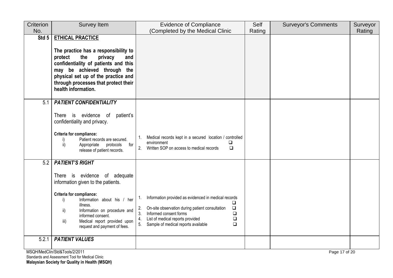| Criterion | Survey Item                                                                                                                                                                                                                                                                                                    | <b>Evidence of Compliance</b>                                                                                                                                                                                                                                                           | Self   | <b>Surveyor's Comments</b> | Surveyor |  |
|-----------|----------------------------------------------------------------------------------------------------------------------------------------------------------------------------------------------------------------------------------------------------------------------------------------------------------------|-----------------------------------------------------------------------------------------------------------------------------------------------------------------------------------------------------------------------------------------------------------------------------------------|--------|----------------------------|----------|--|
| No.       |                                                                                                                                                                                                                                                                                                                | (Completed by the Medical Clinic                                                                                                                                                                                                                                                        | Rating |                            | Rating   |  |
| Std 5     | <b>ETHICAL PRACTICE</b><br>The practice has a responsibility to<br>protect<br>the<br>privacy<br>and<br>confidentiality of patients and this<br>may be achieved through the<br>physical set up of the practice and<br>through processes that protect their<br>health information.                               |                                                                                                                                                                                                                                                                                         |        |                            |          |  |
| 5.1       | <b>PATIENT CONFIDENTIALITY</b><br>There is evidence<br>of<br>patient's<br>confidentiality and privacy.<br><b>Criteria for compliance:</b><br>Patient records are secured.<br>i)<br>ii)<br>for<br>Appropriate protocols<br>release of patient records.                                                          | Medical records kept in a secured location / controlled<br>1.<br>environment<br>$\Box$<br>2.<br>Written SOP on access to medical records<br>$\Box$                                                                                                                                      |        |                            |          |  |
| 5.2       | <b>PATIENT'S RIGHT</b><br>There is evidence of adequate<br>information given to the patients.<br>Criteria for compliance:<br>Information about his / her<br>i)<br>illness.<br>Information on procedure and<br>ii)<br>informed consent.<br>Medical report provided upon<br>iii)<br>request and payment of fees. | Information provided as evidenced in medical records<br>1.<br>$\Box$<br>On-site observation during patient consultation<br>$\Box$<br>2.<br>3.<br>$\Box$<br>Informed consent forms<br>4.<br>List of medical reports provided<br>$\Box$<br>5.<br>Sample of medical reports available<br>Q |        |                            |          |  |
| 5.2.1     | <b>PATIENT VALUES</b>                                                                                                                                                                                                                                                                                          |                                                                                                                                                                                                                                                                                         |        |                            |          |  |
|           | MSQH/MedClin/Std&Tools/2/2011<br>Page 17 of 20                                                                                                                                                                                                                                                                 |                                                                                                                                                                                                                                                                                         |        |                            |          |  |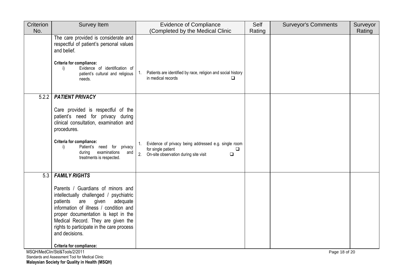| Criterion | <b>Survey Item</b>                                                                                                                                                                                                                                                                                         | <b>Evidence of Compliance</b>                                                                                                                        | Self   | <b>Surveyor's Comments</b> | Surveyor |
|-----------|------------------------------------------------------------------------------------------------------------------------------------------------------------------------------------------------------------------------------------------------------------------------------------------------------------|------------------------------------------------------------------------------------------------------------------------------------------------------|--------|----------------------------|----------|
| No.       |                                                                                                                                                                                                                                                                                                            | (Completed by the Medical Clinic                                                                                                                     | Rating |                            | Rating   |
|           | The care provided is considerate and<br>respectful of patient's personal values<br>and belief.<br><b>Criteria for compliance:</b><br>Evidence of identification of<br>i)<br>patient's cultural and religious<br>needs.                                                                                     | Patients are identified by race, religion and social history<br>1.<br>in medical records                                                             |        |                            |          |
| 5.2.2     | <b>PATIENT PRIVACY</b>                                                                                                                                                                                                                                                                                     |                                                                                                                                                      |        |                            |          |
|           | Care provided is respectful of the<br>patient's need for privacy during<br>clinical consultation, examination and<br>procedures.<br>Criteria for compliance:<br>Patient's need for privacy<br>i)<br>examinations<br>during<br>and<br>treatments is respected.                                              | Evidence of privacy being addressed e.g. single room<br>$1_{\cdot}$<br>for single patient<br>□<br>2. On-site observation during site visit<br>$\Box$ |        |                            |          |
| 5.3       | <b>FAMILY RIGHTS</b>                                                                                                                                                                                                                                                                                       |                                                                                                                                                      |        |                            |          |
|           | Parents / Guardians of minors and<br>intellectually challenged / psychiatric<br>patients<br>are<br>given<br>adequate<br>information of illness / condition and<br>proper documentation is kept in the<br>Medical Record. They are given the<br>rights to participate in the care process<br>and decisions. |                                                                                                                                                      |        |                            |          |
|           | <b>Criteria for compliance:</b>                                                                                                                                                                                                                                                                            |                                                                                                                                                      |        |                            |          |
|           | MSQH/MedClin/Std&Tools/2/2011<br>Page 18 of 20                                                                                                                                                                                                                                                             |                                                                                                                                                      |        |                            |          |

Standards and Assessment Tool for Medical Clinic **Malaysian Society for Quality in Health (MSQH)**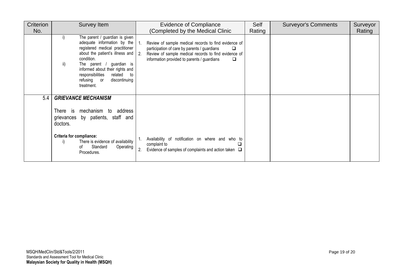| Criterion | Survey Item                                                                                                                                                                                                                                                                                                      | <b>Evidence of Compliance</b>                                                                                                                                                                                                 | Self   | <b>Surveyor's Comments</b> | Surveyor |
|-----------|------------------------------------------------------------------------------------------------------------------------------------------------------------------------------------------------------------------------------------------------------------------------------------------------------------------|-------------------------------------------------------------------------------------------------------------------------------------------------------------------------------------------------------------------------------|--------|----------------------------|----------|
| No.       |                                                                                                                                                                                                                                                                                                                  | (Completed by the Medical Clinic                                                                                                                                                                                              | Rating |                            | Rating   |
|           | The parent / guardian is given<br>I)<br>adequate information by the<br>registered medical practitioner<br>about the patient's illness and<br>condition.<br>ii)<br>The parent / guardian is<br>informed about their rights and<br>responsibilities<br>related<br>to<br>discontinuing<br>refusing or<br>treatment. | Review of sample medical records to find evidence of<br>-1.<br>participation of care by parents / guardians<br>2.<br>Review of sample medical records to find evidence of<br>information provided to parents / guardians<br>❏ |        |                            |          |
| 5.4       | <b>GRIEVANCE MECHANISM</b>                                                                                                                                                                                                                                                                                       |                                                                                                                                                                                                                               |        |                            |          |
|           | There is<br>mechanism to address<br>grievances by patients, staff and<br>doctors.                                                                                                                                                                                                                                |                                                                                                                                                                                                                               |        |                            |          |
|           | <b>Criteria for compliance:</b><br>There is evidence of availability<br>i)<br>Standard<br>Operating<br>of<br>Procedures.                                                                                                                                                                                         | Availability of notification on where and who to<br>complaint to<br>⊔<br>2.<br>Evidence of samples of complaints and action taken $\Box$                                                                                      |        |                            |          |